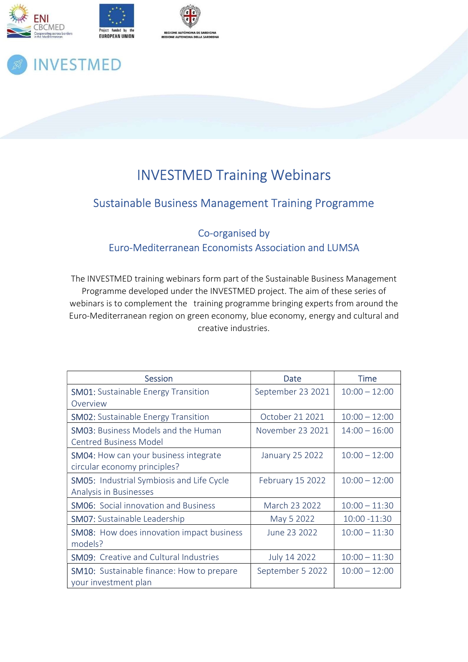



# **INVESTMED**

## INVESTMED Training Webinars

### Sustainable Business Management Training Programme

Co-organised by Euro-Mediterranean Economists Association and LUMSA

The INVESTMED training webinars form part of the Sustainable Business Management Programme developed under the INVESTMED project. The aim of these series of webinars is to complement the training programme bringing experts from around the Euro-Mediterranean region on green economy, blue economy, energy and cultural and creative industries.

| <b>Session</b>                                   | Date                    | <b>Time</b>     |
|--------------------------------------------------|-------------------------|-----------------|
| <b>SM01:</b> Sustainable Energy Transition       | September 23 2021       | $10:00 - 12:00$ |
| Overview                                         |                         |                 |
| <b>SM02:</b> Sustainable Energy Transition       | October 21 2021         | $10:00 - 12:00$ |
| <b>SM03:</b> Business Models and the Human       | November 23 2021        | $14:00 - 16:00$ |
| <b>Centred Business Model</b>                    |                         |                 |
| SM04: How can your business integrate            | <b>January 25 2022</b>  | $10:00 - 12:00$ |
| circular economy principles?                     |                         |                 |
| <b>SM05:</b> Industrial Symbiosis and Life Cycle | <b>February 15 2022</b> | $10:00 - 12:00$ |
| Analysis in Businesses                           |                         |                 |
| <b>SM06:</b> Social innovation and Business      | March 23 2022           | $10:00 - 11:30$ |
| <b>SM07: Sustainable Leadership</b>              | May 5 2022              | 10:00 -11:30    |
| <b>SM08:</b> How does innovation impact business | June 23 2022            | $10:00 - 11:30$ |
| models?                                          |                         |                 |
| <b>SM09:</b> Creative and Cultural Industries    | July 14 2022            | $10:00 - 11:30$ |
| <b>SM10:</b> Sustainable finance: How to prepare | September 5 2022        | $10:00 - 12:00$ |
| your investment plan                             |                         |                 |